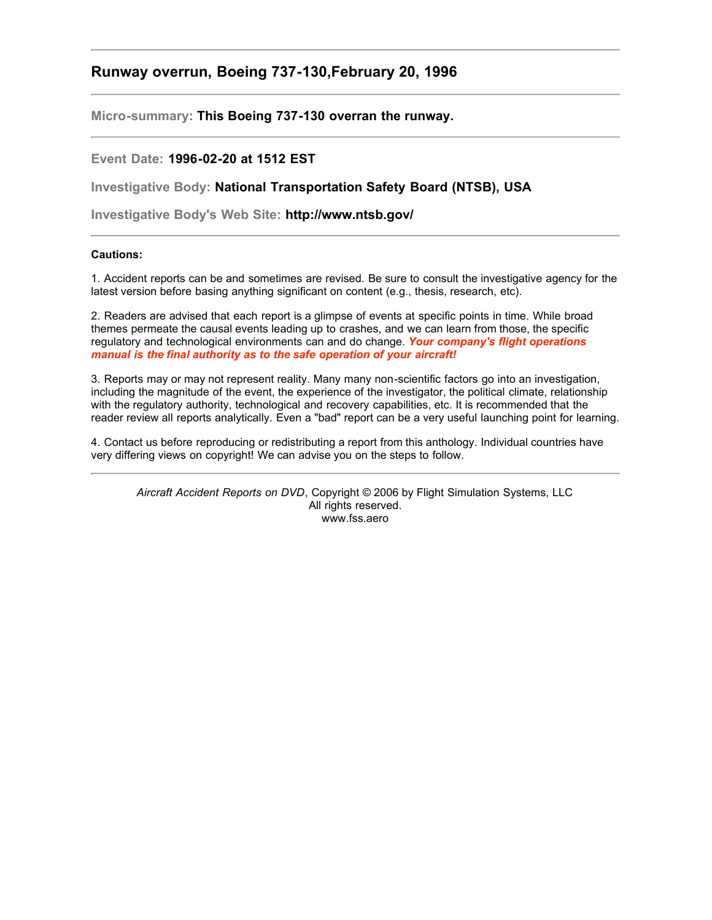# **Runway overrun, Boeing 737-130,February 20, 1996**

**Micro-summary: This Boeing 737-130 overran the runway.**

# **Event Date: 1996-02-20 at 1512 EST**

**Investigative Body: National Transportation Safety Board (NTSB), USA**

**Investigative Body's Web Site: http://www.ntsb.gov/**

# **Cautions:**

1. Accident reports can be and sometimes are revised. Be sure to consult the investigative agency for the latest version before basing anything significant on content (e.g., thesis, research, etc).

2. Readers are advised that each report is a glimpse of events at specific points in time. While broad themes permeate the causal events leading up to crashes, and we can learn from those, the specific regulatory and technological environments can and do change. *Your company's flight operations manual is the final authority as to the safe operation of your aircraft!*

3. Reports may or may not represent reality. Many many non-scientific factors go into an investigation, including the magnitude of the event, the experience of the investigator, the political climate, relationship with the regulatory authority, technological and recovery capabilities, etc. It is recommended that the reader review all reports analytically. Even a "bad" report can be a very useful launching point for learning.

4. Contact us before reproducing or redistributing a report from this anthology. Individual countries have very differing views on copyright! We can advise you on the steps to follow.

*Aircraft Accident Reports on DVD*, Copyright © 2006 by Flight Simulation Systems, LLC All rights reserved. www.fss.aero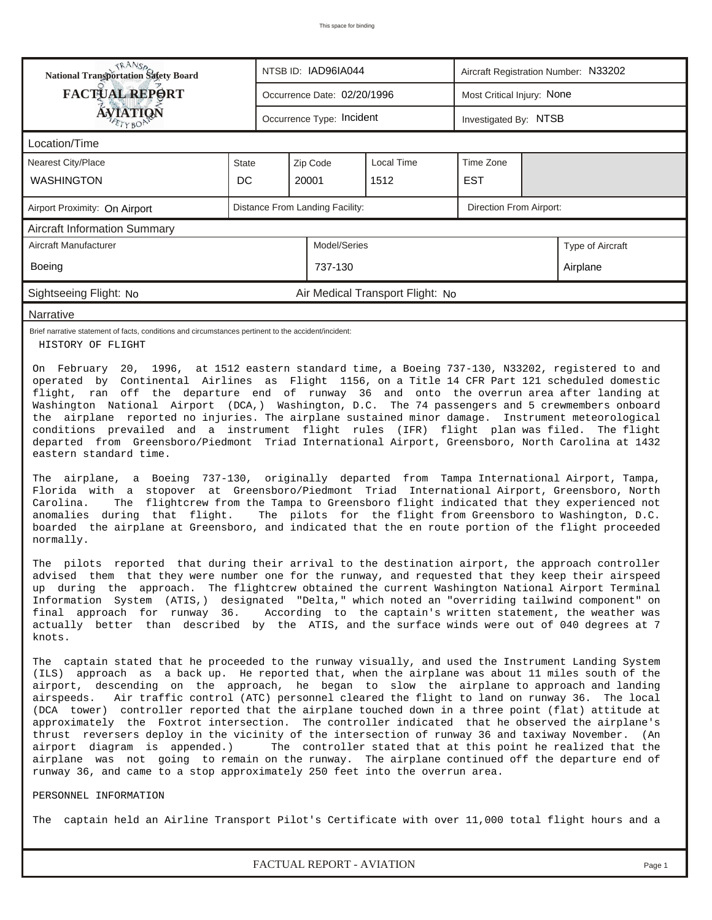| RANS <sub>P</sub> RANSP<br>National Transportation Safety Board                                                                                                                                                                                                                                                                                                                                                                                                                                                                                                                                                                                                                                                                                                                                                                                                                                                                                                                                                   | NTSB ID: IAD96IA044<br>Aircraft Registration Number: N33202 |  |                                 |                                  |                            |  |                  |  |  |
|-------------------------------------------------------------------------------------------------------------------------------------------------------------------------------------------------------------------------------------------------------------------------------------------------------------------------------------------------------------------------------------------------------------------------------------------------------------------------------------------------------------------------------------------------------------------------------------------------------------------------------------------------------------------------------------------------------------------------------------------------------------------------------------------------------------------------------------------------------------------------------------------------------------------------------------------------------------------------------------------------------------------|-------------------------------------------------------------|--|---------------------------------|----------------------------------|----------------------------|--|------------------|--|--|
| <b>FACTUAL REPORT</b>                                                                                                                                                                                                                                                                                                                                                                                                                                                                                                                                                                                                                                                                                                                                                                                                                                                                                                                                                                                             |                                                             |  | Occurrence Date: 02/20/1996     |                                  | Most Critical Injury: None |  |                  |  |  |
| <b>ÁVIATION</b>                                                                                                                                                                                                                                                                                                                                                                                                                                                                                                                                                                                                                                                                                                                                                                                                                                                                                                                                                                                                   |                                                             |  | Occurrence Type: Incident       |                                  | Investigated By: NTSB      |  |                  |  |  |
| Location/Time                                                                                                                                                                                                                                                                                                                                                                                                                                                                                                                                                                                                                                                                                                                                                                                                                                                                                                                                                                                                     |                                                             |  |                                 |                                  |                            |  |                  |  |  |
| <b>Nearest City/Place</b>                                                                                                                                                                                                                                                                                                                                                                                                                                                                                                                                                                                                                                                                                                                                                                                                                                                                                                                                                                                         | <b>State</b>                                                |  | Zip Code                        | <b>Local Time</b>                | Time Zone                  |  |                  |  |  |
| <b>WASHINGTON</b>                                                                                                                                                                                                                                                                                                                                                                                                                                                                                                                                                                                                                                                                                                                                                                                                                                                                                                                                                                                                 | DC                                                          |  | 20001                           | 1512                             | <b>EST</b>                 |  |                  |  |  |
| Airport Proximity: On Airport                                                                                                                                                                                                                                                                                                                                                                                                                                                                                                                                                                                                                                                                                                                                                                                                                                                                                                                                                                                     |                                                             |  | Distance From Landing Facility: |                                  | Direction From Airport:    |  |                  |  |  |
| <b>Aircraft Information Summary</b>                                                                                                                                                                                                                                                                                                                                                                                                                                                                                                                                                                                                                                                                                                                                                                                                                                                                                                                                                                               |                                                             |  |                                 |                                  |                            |  |                  |  |  |
| Aircraft Manufacturer                                                                                                                                                                                                                                                                                                                                                                                                                                                                                                                                                                                                                                                                                                                                                                                                                                                                                                                                                                                             |                                                             |  | Model/Series                    |                                  |                            |  | Type of Aircraft |  |  |
| Boeing                                                                                                                                                                                                                                                                                                                                                                                                                                                                                                                                                                                                                                                                                                                                                                                                                                                                                                                                                                                                            |                                                             |  | 737-130                         |                                  |                            |  | Airplane         |  |  |
| Sightseeing Flight: No                                                                                                                                                                                                                                                                                                                                                                                                                                                                                                                                                                                                                                                                                                                                                                                                                                                                                                                                                                                            |                                                             |  |                                 | Air Medical Transport Flight: No |                            |  |                  |  |  |
| Narrative                                                                                                                                                                                                                                                                                                                                                                                                                                                                                                                                                                                                                                                                                                                                                                                                                                                                                                                                                                                                         |                                                             |  |                                 |                                  |                            |  |                  |  |  |
| Brief narrative statement of facts, conditions and circumstances pertinent to the accident/incident:<br>HISTORY OF FLIGHT                                                                                                                                                                                                                                                                                                                                                                                                                                                                                                                                                                                                                                                                                                                                                                                                                                                                                         |                                                             |  |                                 |                                  |                            |  |                  |  |  |
| Washington National Airport (DCA,) Washington, D.C. The 74 passengers and 5 crewmembers onboard<br>the airplane reported no injuries. The airplane sustained minor damage. Instrument meteorological<br>conditions prevailed and a instrument flight rules (IFR) flight plan was filed. The flight<br>departed from Greensboro/Piedmont Triad International Airport, Greensboro, North Carolina at 1432<br>eastern standard time.<br>The airplane, a Boeing 737-130, originally departed from Tampa International Airport, Tampa,<br>Florida with a stopover at Greensboro/Piedmont Triad International Airport, Greensboro, North<br>The flightcrew from the Tampa to Greensboro flight indicated that they experienced not<br>Carolina.<br>The pilots for the flight from Greensboro to Washington, D.C.<br>anomalies during that flight.<br>boarded the airplane at Greensboro, and indicated that the en route portion of the flight proceeded<br>normally.                                                   |                                                             |  |                                 |                                  |                            |  |                  |  |  |
| The pilots reported that during their arrival to the destination airport, the approach controller<br>advised them that they were number one for the runway, and requested that they keep their airspeed<br>up during the approach. The flightcrew obtained the current Washington National Airport Terminal<br>Information System (ATIS,) designated "Delta," which noted an "overriding tailwind component" on<br>final approach for runway 36. According to the captain's written statement, the weather was<br>actually better than described by the ATIS, and the surface winds were out of 040 degrees at 7<br>knots.                                                                                                                                                                                                                                                                                                                                                                                        |                                                             |  |                                 |                                  |                            |  |                  |  |  |
| The captain stated that he proceeded to the runway visually, and used the Instrument Landing System<br>(ILS) approach as a back up. He reported that, when the airplane was about 11 miles south of the<br>airport, descending on the approach, he began to slow the airplane to approach and landing<br>Air traffic control (ATC) personnel cleared the flight to land on runway 36. The local<br>airspeeds.<br>(DCA tower) controller reported that the airplane touched down in a three point (flat) attitude at<br>approximately the Foxtrot intersection. The controller indicated that he observed the airplane's<br>thrust reversers deploy in the vicinity of the intersection of runway 36 and taxiway November. (An<br>The controller stated that at this point he realized that the<br>airport diagram is appended.)<br>airplane was not going to remain on the runway. The airplane continued off the departure end of<br>runway 36, and came to a stop approximately 250 feet into the overrun area. |                                                             |  |                                 |                                  |                            |  |                  |  |  |
| PERSONNEL INFORMATION                                                                                                                                                                                                                                                                                                                                                                                                                                                                                                                                                                                                                                                                                                                                                                                                                                                                                                                                                                                             |                                                             |  |                                 |                                  |                            |  |                  |  |  |
| The captain held an Airline Transport Pilot's Certificate with over 11,000 total flight hours and a                                                                                                                                                                                                                                                                                                                                                                                                                                                                                                                                                                                                                                                                                                                                                                                                                                                                                                               |                                                             |  |                                 |                                  |                            |  |                  |  |  |

*FACTUAL REPORT - AVIATION Page 1*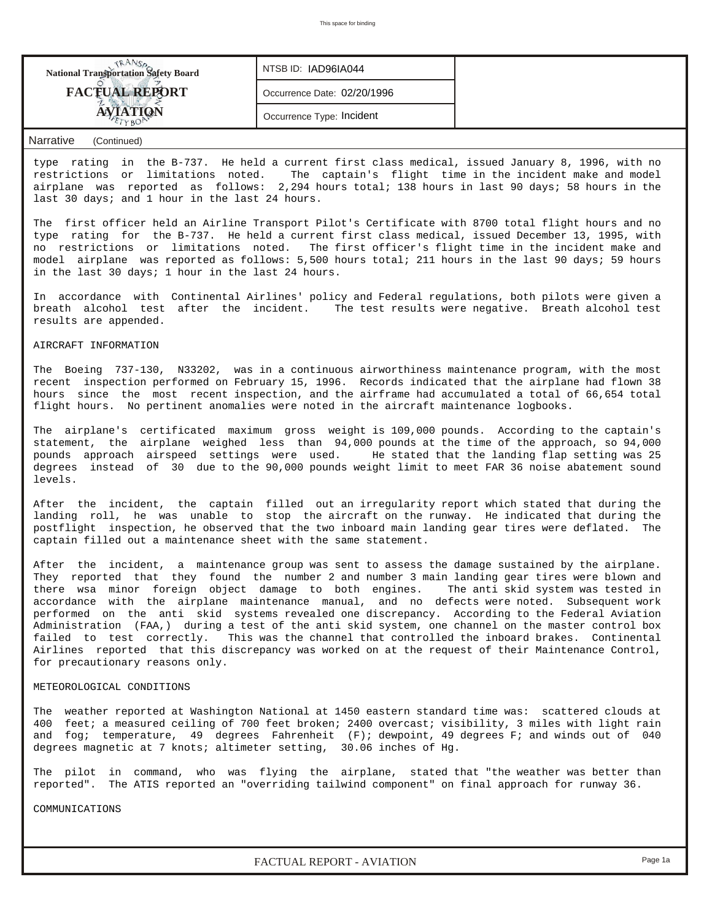| <b>FACTUAL REPORT</b><br>Occurrence Date: 02/20/1996 | <b>National Transportation Safety Board</b> | NTSB ID: IAD96IA044       |  |
|------------------------------------------------------|---------------------------------------------|---------------------------|--|
|                                                      |                                             |                           |  |
|                                                      |                                             | Occurrence Type: Incident |  |

## *Narrative (Continued)*

type rating in the B-737. He held a current first class medical, issued January 8, 1996, with no restrictions or limitations noted. The captain's flight time in the incident make and model airplane was reported as follows: 2,294 hours total; 138 hours in last 90 days; 58 hours in the last 30 days; and 1 hour in the last 24 hours.

The first officer held an Airline Transport Pilot's Certificate with 8700 total flight hours and no type rating for the B-737. He held a current first class medical, issued December 13, 1995, with no restrictions or limitations noted. The first officer's flight time in the incident make and model airplane was reported as follows: 5,500 hours total; 211 hours in the last 90 days; 59 hours in the last 30 days; 1 hour in the last 24 hours.

In accordance with Continental Airlines' policy and Federal regulations, both pilots were given a breath alcohol test after the incident. The test results were negative. Breath alcohol test results are appended.

#### AIRCRAFT INFORMATION

The Boeing 737-130, N33202, was in a continuous airworthiness maintenance program, with the most recent inspection performed on February 15, 1996. Records indicated that the airplane had flown 38 hours since the most recent inspection, and the airframe had accumulated a total of 66,654 total flight hours. No pertinent anomalies were noted in the aircraft maintenance logbooks.

The airplane's certificated maximum gross weight is 109,000 pounds. According to the captain's statement, the airplane weighed less than 94,000 pounds at the time of the approach, so 94,000 pounds approach airspeed settings were used. He stated that the landing flap setting was 25 degrees instead of 30 due to the 90,000 pounds weight limit to meet FAR 36 noise abatement sound levels.

After the incident, the captain filled out an irregularity report which stated that during the landing roll, he was unable to stop the aircraft on the runway. He indicated that during the postflight inspection, he observed that the two inboard main landing gear tires were deflated. The captain filled out a maintenance sheet with the same statement.

After the incident, a maintenance group was sent to assess the damage sustained by the airplane. They reported that they found the number 2 and number 3 main landing gear tires were blown and there wsa minor foreign object damage to both engines. The anti skid system was tested in accordance with the airplane maintenance manual, and no defects were noted. Subsequent work performed on the anti skid systems revealed one discrepancy. According to the Federal Aviation Administration (FAA,) during a test of the anti skid system, one channel on the master control box failed to test correctly. This was the channel that controlled the inboard brakes. Continental Airlines reported that this discrepancy was worked on at the request of their Maintenance Control, for precautionary reasons only.

#### METEOROLOGICAL CONDITIONS

The weather reported at Washington National at 1450 eastern standard time was: scattered clouds at 400 feet; a measured ceiling of 700 feet broken; 2400 overcast; visibility, 3 miles with light rain and fog; temperature, 49 degrees Fahrenheit (F); dewpoint, 49 degrees F; and winds out of 040 degrees magnetic at 7 knots; altimeter setting, 30.06 inches of Hg.

The pilot in command, who was flying the airplane, stated that "the weather was better than reported". The ATIS reported an "overriding tailwind component" on final approach for runway 36.

COMMUNICATIONS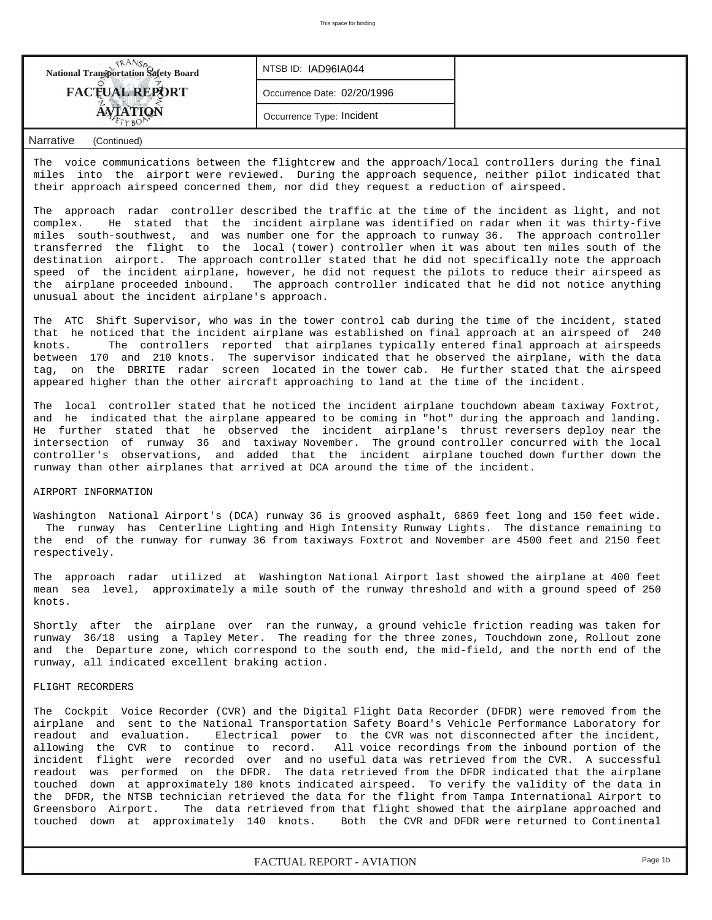| <b>National Transportation Safety Board</b> | NTSB ID: IAD96IA044         |  |
|---------------------------------------------|-----------------------------|--|
| <b>FACTUAL REPORT</b>                       | Occurrence Date: 02/20/1996 |  |
|                                             | Occurrence Type: Incident   |  |

# *Narrative (Continued)*

The voice communications between the flightcrew and the approach/local controllers during the final miles into the airport were reviewed. During the approach sequence, neither pilot indicated that their approach airspeed concerned them, nor did they request a reduction of airspeed.

The approach radar controller described the traffic at the time of the incident as light, and not complex. He stated that the incident airplane was identified on radar when it was thirty-five miles south-southwest, and was number one for the approach to runway 36. The approach controller transferred the flight to the local (tower) controller when it was about ten miles south of the destination airport. The approach controller stated that he did not specifically note the approach speed of the incident airplane, however, he did not request the pilots to reduce their airspeed as the airplane proceeded inbound. The approach controller indicated that he did not notice anything unusual about the incident airplane's approach.

The ATC Shift Supervisor, who was in the tower control cab during the time of the incident, stated that he noticed that the incident airplane was established on final approach at an airspeed of 240 knots. The controllers reported that airplanes typically entered final approach at airspeeds between 170 and 210 knots. The supervisor indicated that he observed the airplane, with the data tag, on the DBRITE radar screen located in the tower cab. He further stated that the airspeed appeared higher than the other aircraft approaching to land at the time of the incident.

The local controller stated that he noticed the incident airplane touchdown abeam taxiway Foxtrot, and he indicated that the airplane appeared to be coming in "hot" during the approach and landing. He further stated that he observed the incident airplane's thrust reversers deploy near the intersection of runway 36 and taxiway November. The ground controller concurred with the local controller's observations, and added that the incident airplane touched down further down the runway than other airplanes that arrived at DCA around the time of the incident.

# AIRPORT INFORMATION

Washington National Airport's (DCA) runway 36 is grooved asphalt, 6869 feet long and 150 feet wide. The runway has Centerline Lighting and High Intensity Runway Lights. The distance remaining to the end of the runway for runway 36 from taxiways Foxtrot and November are 4500 feet and 2150 feet respectively.

The approach radar utilized at Washington National Airport last showed the airplane at 400 feet mean sea level, approximately a mile south of the runway threshold and with a ground speed of 250 knots.

Shortly after the airplane over ran the runway, a ground vehicle friction reading was taken for runway 36/18 using a Tapley Meter. The reading for the three zones, Touchdown zone, Rollout zone and the Departure zone, which correspond to the south end, the mid-field, and the north end of the runway, all indicated excellent braking action.

#### FLIGHT RECORDERS

The Cockpit Voice Recorder (CVR) and the Digital Flight Data Recorder (DFDR) were removed from the airplane and sent to the National Transportation Safety Board's Vehicle Performance Laboratory for readout and evaluation. Electrical power to the CVR was not disconnected after the incident, allowing the CVR to continue to record. All voice recordings from the inbound portion of the incident flight were recorded over and no useful data was retrieved from the CVR. A successful readout was performed on the DFDR. The data retrieved from the DFDR indicated that the airplane touched down at approximately 180 knots indicated airspeed. To verify the validity of the data in the DFDR, the NTSB technician retrieved the data for the flight from Tampa International Airport to Greensboro Airport. The data retrieved from that flight showed that the airplane approached and touched down at approximately 140 knots. Both the CVR and DFDR were returned to Continental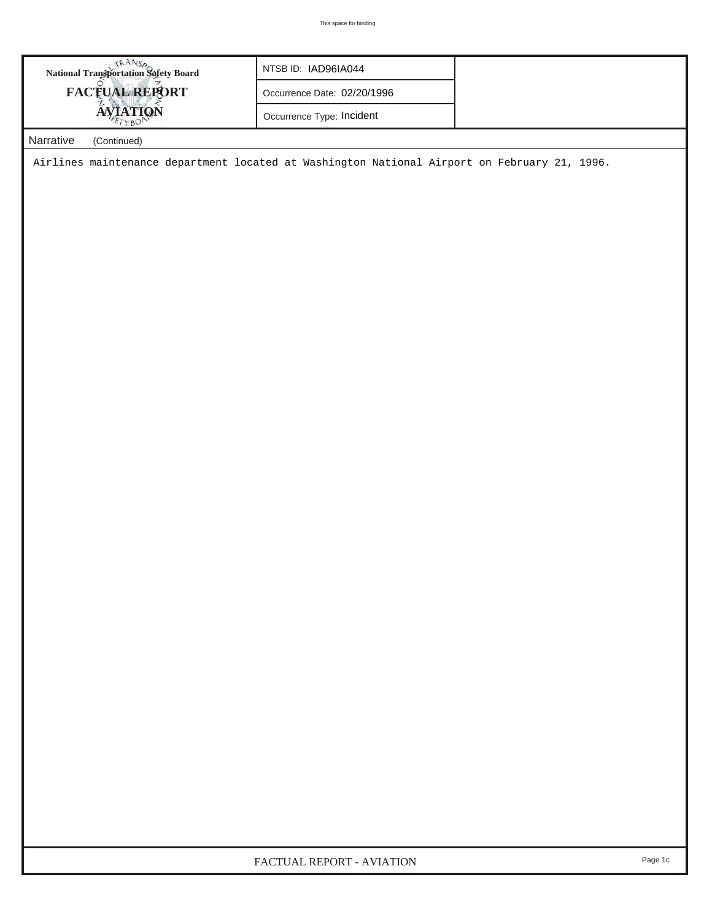| <b>National Transportation Safety Board</b> | NTSB ID: IAD96IA044         |  |
|---------------------------------------------|-----------------------------|--|
| <b>FACTUAL REPORT</b>                       | Occurrence Date: 02/20/1996 |  |
| <b>IQN</b>                                  | Occurrence Type: Incident   |  |
| Narrative<br>(Continued)                    |                             |  |

Airlines maintenance department located at Washington National Airport on February 21, 1996.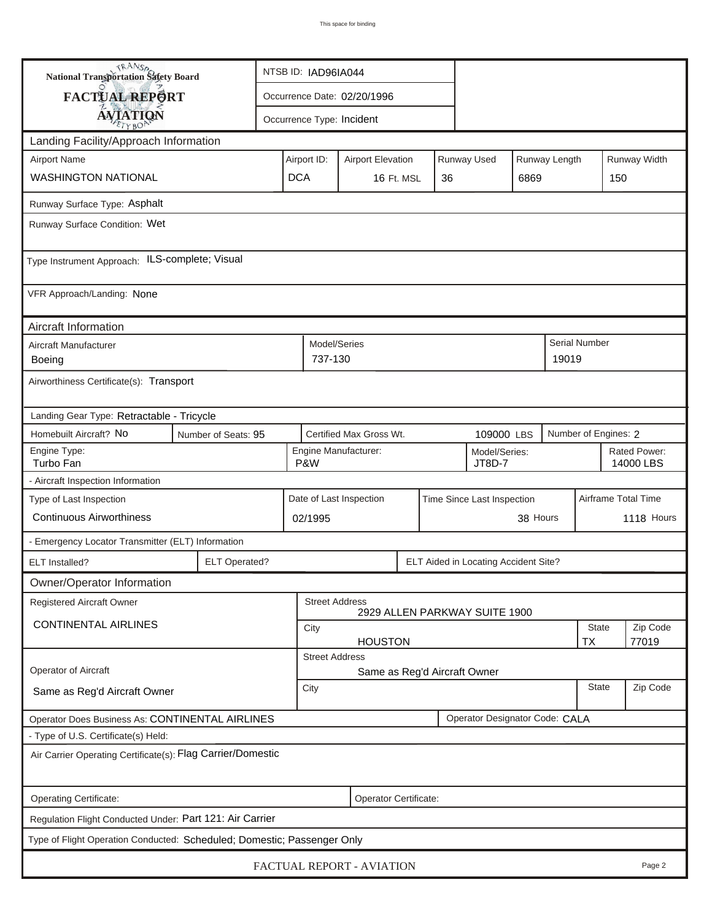| <b>National Transportation Safety Board</b>                             |                      | NTSB ID: IAD96IA044                                                            |                             |    |                                      |      |                        |                           |              |  |
|-------------------------------------------------------------------------|----------------------|--------------------------------------------------------------------------------|-----------------------------|----|--------------------------------------|------|------------------------|---------------------------|--------------|--|
| FACTUAL REPORT                                                          |                      |                                                                                | Occurrence Date: 02/20/1996 |    |                                      |      |                        |                           |              |  |
| <b>AVIATION</b>                                                         |                      | Occurrence Type: Incident                                                      |                             |    |                                      |      |                        |                           |              |  |
| Landing Facility/Approach Information                                   |                      |                                                                                |                             |    |                                      |      |                        |                           |              |  |
| <b>Airport Name</b>                                                     |                      | <b>Runway Used</b><br>Runway Length<br>Airport ID:<br><b>Airport Elevation</b> |                             |    |                                      |      |                        |                           | Runway Width |  |
| <b>WASHINGTON NATIONAL</b>                                              |                      | <b>DCA</b>                                                                     | 16 Ft. MSL                  | 36 |                                      | 6869 |                        | 150                       |              |  |
| Runway Surface Type: Asphalt                                            |                      |                                                                                |                             |    |                                      |      |                        |                           |              |  |
| Runway Surface Condition: Wet                                           |                      |                                                                                |                             |    |                                      |      |                        |                           |              |  |
| Type Instrument Approach: ILS-complete; Visual                          |                      |                                                                                |                             |    |                                      |      |                        |                           |              |  |
| VFR Approach/Landing: None                                              |                      |                                                                                |                             |    |                                      |      |                        |                           |              |  |
| Aircraft Information                                                    |                      |                                                                                |                             |    |                                      |      |                        |                           |              |  |
| Aircraft Manufacturer<br>Boeing                                         |                      |                                                                                | Model/Series<br>737-130     |    |                                      |      | Serial Number<br>19019 |                           |              |  |
| Airworthiness Certificate(s): Transport                                 |                      |                                                                                |                             |    |                                      |      |                        |                           |              |  |
| Landing Gear Type: Retractable - Tricycle                               |                      |                                                                                |                             |    |                                      |      |                        |                           |              |  |
| Homebuilt Aircraft? No<br>Number of Seats: 95                           |                      | Certified Max Gross Wt.<br>109000 LBS                                          |                             |    |                                      |      |                        | Number of Engines: 2      |              |  |
| Engine Type:<br>Turbo Fan                                               |                      | P&W                                                                            | Engine Manufacturer:        |    | Model/Series:<br>JT8D-7              |      |                        | Rated Power:<br>14000 LBS |              |  |
| - Aircraft Inspection Information                                       |                      |                                                                                |                             |    |                                      |      |                        |                           |              |  |
| Type of Last Inspection                                                 |                      | Date of Last Inspection<br>Time Since Last Inspection                          |                             |    |                                      |      |                        | Airframe Total Time       |              |  |
| <b>Continuous Airworthiness</b>                                         |                      | 38 Hours<br>02/1995                                                            |                             |    |                                      |      |                        | 1118 Hours                |              |  |
| - Emergency Locator Transmitter (ELT) Information                       |                      |                                                                                |                             |    |                                      |      |                        |                           |              |  |
| <b>ELT</b> Installed?                                                   | <b>ELT Operated?</b> |                                                                                |                             |    | ELT Aided in Locating Accident Site? |      |                        |                           |              |  |
| Owner/Operator Information                                              |                      |                                                                                |                             |    |                                      |      |                        |                           |              |  |
| Registered Aircraft Owner                                               |                      |                                                                                | <b>Street Address</b>       |    | 2929 ALLEN PARKWAY SUITE 1900        |      |                        |                           |              |  |
| <b>CONTINENTAL AIRLINES</b>                                             |                      | <b>State</b><br>City                                                           |                             |    |                                      |      |                        |                           | Zip Code     |  |
|                                                                         |                      | <b>TX</b><br>77019<br><b>HOUSTON</b><br><b>Street Address</b>                  |                             |    |                                      |      |                        |                           |              |  |
| Operator of Aircraft                                                    |                      | Same as Reg'd Aircraft Owner                                                   |                             |    |                                      |      |                        |                           |              |  |
| Same as Reg'd Aircraft Owner                                            |                      | City                                                                           |                             |    |                                      |      |                        | <b>State</b>              | Zip Code     |  |
| Operator Does Business As: CONTINENTAL AIRLINES                         |                      |                                                                                |                             |    | Operator Designator Code: CALA       |      |                        |                           |              |  |
| - Type of U.S. Certificate(s) Held:                                     |                      |                                                                                |                             |    |                                      |      |                        |                           |              |  |
| Air Carrier Operating Certificate(s): Flag Carrier/Domestic             |                      |                                                                                |                             |    |                                      |      |                        |                           |              |  |
| Operating Certificate:                                                  |                      |                                                                                | Operator Certificate:       |    |                                      |      |                        |                           |              |  |
| Regulation Flight Conducted Under: Part 121: Air Carrier                |                      |                                                                                |                             |    |                                      |      |                        |                           |              |  |
| Type of Flight Operation Conducted: Scheduled; Domestic; Passenger Only |                      |                                                                                |                             |    |                                      |      |                        |                           |              |  |
| FACTUAL REPORT - AVIATION<br>Page 2                                     |                      |                                                                                |                             |    |                                      |      |                        |                           |              |  |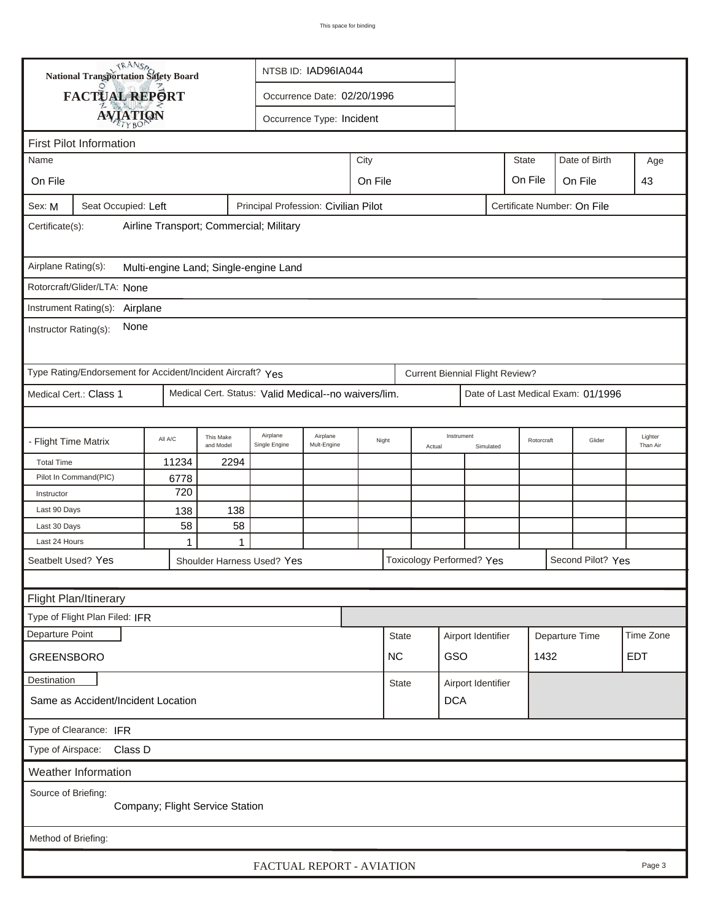|                                                                                                      | <b>National Transportation Safety Board</b><br>NTSB ID: IAD96IA044 |         |                        |                                                      |                             |  |              |        |                                        |                    |                |                                    |  |                     |
|------------------------------------------------------------------------------------------------------|--------------------------------------------------------------------|---------|------------------------|------------------------------------------------------|-----------------------------|--|--------------|--------|----------------------------------------|--------------------|----------------|------------------------------------|--|---------------------|
|                                                                                                      | FACTUAL REPORT                                                     |         |                        |                                                      | Occurrence Date: 02/20/1996 |  |              |        |                                        |                    |                |                                    |  |                     |
|                                                                                                      | <b>AVIATION</b>                                                    |         |                        |                                                      | Occurrence Type: Incident   |  |              |        |                                        |                    |                |                                    |  |                     |
|                                                                                                      |                                                                    |         |                        |                                                      |                             |  |              |        |                                        |                    |                |                                    |  |                     |
| <b>First Pilot Information</b><br>City<br><b>State</b><br>Date of Birth<br>Name                      |                                                                    |         |                        |                                                      |                             |  |              |        |                                        |                    |                |                                    |  |                     |
|                                                                                                      |                                                                    |         |                        |                                                      |                             |  |              |        |                                        |                    |                |                                    |  | Age                 |
| On File                                                                                              | On File<br>On File<br>On File                                      |         |                        |                                                      |                             |  |              |        |                                        |                    | 43             |                                    |  |                     |
| Principal Profession: Civilian Pilot<br>Sex: M<br>Seat Occupied: Left<br>Certificate Number: On File |                                                                    |         |                        |                                                      |                             |  |              |        |                                        |                    |                |                                    |  |                     |
| Airline Transport; Commercial; Military<br>Certificate(s):                                           |                                                                    |         |                        |                                                      |                             |  |              |        |                                        |                    |                |                                    |  |                     |
| Airplane Rating(s):                                                                                  |                                                                    |         |                        | Multi-engine Land; Single-engine Land                |                             |  |              |        |                                        |                    |                |                                    |  |                     |
|                                                                                                      | Rotorcraft/Glider/LTA: None                                        |         |                        |                                                      |                             |  |              |        |                                        |                    |                |                                    |  |                     |
|                                                                                                      | Instrument Rating(s):<br>Airplane                                  |         |                        |                                                      |                             |  |              |        |                                        |                    |                |                                    |  |                     |
| None<br>Instructor Rating(s):                                                                        |                                                                    |         |                        |                                                      |                             |  |              |        |                                        |                    |                |                                    |  |                     |
|                                                                                                      | Type Rating/Endorsement for Accident/Incident Aircraft? Yes        |         |                        |                                                      |                             |  |              |        | <b>Current Biennial Flight Review?</b> |                    |                |                                    |  |                     |
|                                                                                                      | Medical Cert.: Class 1                                             |         |                        | Medical Cert. Status: Valid Medical--no waivers/lim. |                             |  |              |        |                                        |                    |                | Date of Last Medical Exam: 01/1996 |  |                     |
|                                                                                                      |                                                                    |         |                        |                                                      |                             |  |              |        |                                        |                    |                |                                    |  |                     |
| - Flight Time Matrix                                                                                 |                                                                    | All A/C | This Make<br>and Model | Airplane<br>Single Engine                            | Airplane<br>Mult-Engine     |  | Night        | Actual | Instrument                             | Simulated          | Rotorcraft     | Glider                             |  | Lighter<br>Than Air |
| <b>Total Time</b>                                                                                    |                                                                    | 11234   | 2294                   |                                                      |                             |  |              |        |                                        |                    |                |                                    |  |                     |
|                                                                                                      | Pilot In Command(PIC)                                              | 6778    |                        |                                                      |                             |  |              |        |                                        |                    |                |                                    |  |                     |
| Instructor                                                                                           |                                                                    | 720     |                        |                                                      |                             |  |              |        |                                        |                    |                |                                    |  |                     |
| Last 90 Days                                                                                         |                                                                    | 138     | 138                    |                                                      |                             |  |              |        |                                        |                    |                |                                    |  |                     |
| Last 30 Days<br>Last 24 Hours                                                                        |                                                                    | 58<br>1 | 58<br>1                |                                                      |                             |  |              |        |                                        |                    |                |                                    |  |                     |
| Seatbelt Used? Yes                                                                                   |                                                                    |         |                        |                                                      |                             |  |              |        | Toxicology Performed? Yes              |                    |                | Second Pilot? Yes                  |  |                     |
|                                                                                                      |                                                                    |         |                        | Shoulder Harness Used? Yes                           |                             |  |              |        |                                        |                    |                |                                    |  |                     |
|                                                                                                      |                                                                    |         |                        |                                                      |                             |  |              |        |                                        |                    |                |                                    |  |                     |
|                                                                                                      | Flight Plan/Itinerary                                              |         |                        |                                                      |                             |  |              |        |                                        |                    |                |                                    |  |                     |
|                                                                                                      | Type of Flight Plan Filed: IFR                                     |         |                        |                                                      |                             |  |              |        |                                        |                    |                |                                    |  |                     |
| Departure Point                                                                                      |                                                                    |         |                        |                                                      |                             |  | <b>State</b> |        | Airport Identifier                     |                    | Departure Time |                                    |  | Time Zone           |
| <b>GREENSBORO</b>                                                                                    |                                                                    |         |                        |                                                      |                             |  | <b>NC</b>    |        | GSO                                    |                    |                | 1432                               |  | <b>EDT</b>          |
| <b>Destination</b>                                                                                   |                                                                    |         |                        |                                                      |                             |  | <b>State</b> |        |                                        | Airport Identifier |                |                                    |  |                     |
| <b>DCA</b><br>Same as Accident/Incident Location                                                     |                                                                    |         |                        |                                                      |                             |  |              |        |                                        |                    |                |                                    |  |                     |
| Type of Clearance: IFR                                                                               |                                                                    |         |                        |                                                      |                             |  |              |        |                                        |                    |                |                                    |  |                     |
| Type of Airspace:<br>Class D                                                                         |                                                                    |         |                        |                                                      |                             |  |              |        |                                        |                    |                |                                    |  |                     |
| Weather Information                                                                                  |                                                                    |         |                        |                                                      |                             |  |              |        |                                        |                    |                |                                    |  |                     |
| Source of Briefing:<br>Company; Flight Service Station                                               |                                                                    |         |                        |                                                      |                             |  |              |        |                                        |                    |                |                                    |  |                     |
| Method of Briefing:                                                                                  |                                                                    |         |                        |                                                      |                             |  |              |        |                                        |                    |                |                                    |  |                     |
|                                                                                                      |                                                                    |         |                        |                                                      | FACTUAL REPORT - AVIATION   |  |              |        |                                        |                    |                |                                    |  | Page 3              |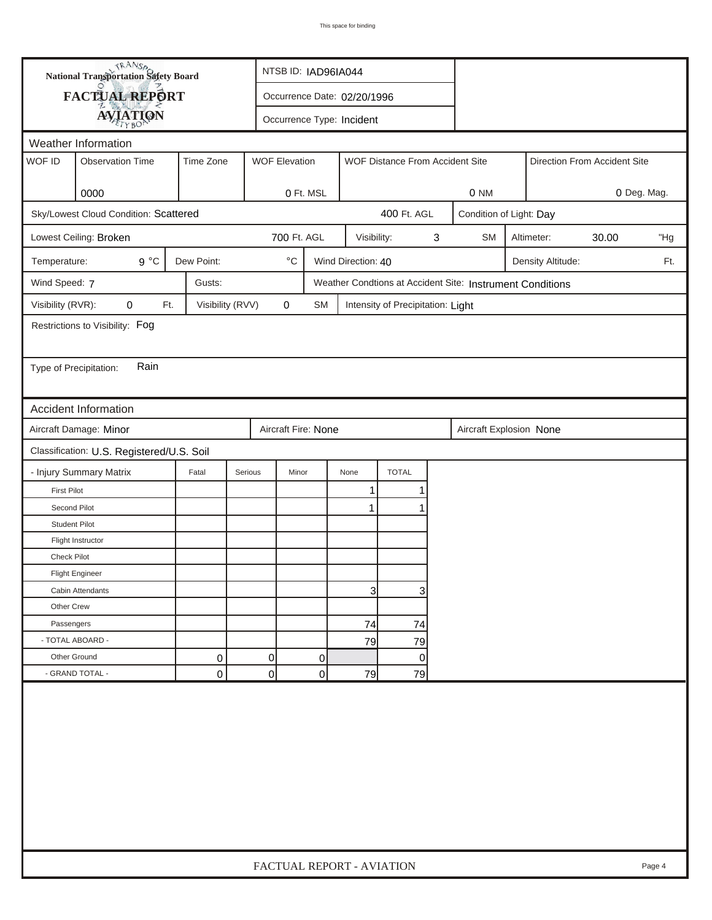| <b>National Transportation Safety Board</b>                       |                                           |                                                                      |         | NTSB ID: IAD96IA044         |           |                    |                                   |   |                                                           |  |                   |                              |             |
|-------------------------------------------------------------------|-------------------------------------------|----------------------------------------------------------------------|---------|-----------------------------|-----------|--------------------|-----------------------------------|---|-----------------------------------------------------------|--|-------------------|------------------------------|-------------|
| FACTUAL REPORT                                                    |                                           |                                                                      |         | Occurrence Date: 02/20/1996 |           |                    |                                   |   |                                                           |  |                   |                              |             |
|                                                                   | <b>AVIATION</b>                           |                                                                      |         | Occurrence Type: Incident   |           |                    |                                   |   |                                                           |  |                   |                              |             |
| Weather Information                                               |                                           |                                                                      |         |                             |           |                    |                                   |   |                                                           |  |                   |                              |             |
| WOF ID                                                            | <b>Observation Time</b>                   | Time Zone<br><b>WOF Elevation</b><br>WOF Distance From Accident Site |         |                             |           |                    |                                   |   |                                                           |  |                   | Direction From Accident Site |             |
|                                                                   |                                           |                                                                      |         |                             |           |                    |                                   |   |                                                           |  |                   |                              |             |
|                                                                   | 0000                                      |                                                                      |         | 0 Ft. MSL                   |           |                    |                                   |   | 0 NM                                                      |  |                   |                              | 0 Deg. Mag. |
|                                                                   | Sky/Lowest Cloud Condition: Scattered     |                                                                      |         |                             |           |                    | 400 Ft. AGL                       |   | Condition of Light: Day                                   |  |                   |                              |             |
|                                                                   | Lowest Ceiling: Broken                    |                                                                      |         | 700 Ft. AGL                 |           | Visibility:        |                                   | 3 | <b>SM</b>                                                 |  | Altimeter:        | 30.00                        | "Hg         |
| Temperature:                                                      | $9^{\circ}C$                              | Dew Point:                                                           |         | $^\circ\mathrm{C}$          |           | Wind Direction: 40 |                                   |   |                                                           |  | Density Altitude: |                              | Ft.         |
| Wind Speed: 7                                                     |                                           | Gusts:                                                               |         |                             |           |                    |                                   |   | Weather Condtions at Accident Site: Instrument Conditions |  |                   |                              |             |
| Visibility (RVR):                                                 | 0<br>Ft.                                  | Visibility (RVV)                                                     |         | 0                           | <b>SM</b> |                    | Intensity of Precipitation: Light |   |                                                           |  |                   |                              |             |
|                                                                   | Restrictions to Visibility: Fog           |                                                                      |         |                             |           |                    |                                   |   |                                                           |  |                   |                              |             |
|                                                                   |                                           |                                                                      |         |                             |           |                    |                                   |   |                                                           |  |                   |                              |             |
|                                                                   | Rain<br>Type of Precipitation:            |                                                                      |         |                             |           |                    |                                   |   |                                                           |  |                   |                              |             |
|                                                                   |                                           |                                                                      |         |                             |           |                    |                                   |   |                                                           |  |                   |                              |             |
|                                                                   | Accident Information                      |                                                                      |         |                             |           |                    |                                   |   |                                                           |  |                   |                              |             |
|                                                                   | Aircraft Damage: Minor                    |                                                                      |         | Aircraft Fire: None         |           |                    |                                   |   | Aircraft Explosion None                                   |  |                   |                              |             |
|                                                                   |                                           |                                                                      |         |                             |           |                    |                                   |   |                                                           |  |                   |                              |             |
|                                                                   | Classification: U.S. Registered/U.S. Soil |                                                                      |         |                             |           |                    |                                   |   |                                                           |  |                   |                              |             |
|                                                                   | - Injury Summary Matrix                   | Fatal                                                                | Serious | Minor                       |           | None               | <b>TOTAL</b>                      |   |                                                           |  |                   |                              |             |
| <b>First Pilot</b><br>Second Pilot                                |                                           |                                                                      |         |                             |           | 1                  |                                   |   |                                                           |  |                   |                              |             |
| <b>Student Pilot</b>                                              |                                           |                                                                      |         |                             |           | 1                  |                                   |   |                                                           |  |                   |                              |             |
|                                                                   | Flight Instructor                         |                                                                      |         |                             |           |                    |                                   |   |                                                           |  |                   |                              |             |
| Check Pilot                                                       |                                           |                                                                      |         |                             |           |                    |                                   |   |                                                           |  |                   |                              |             |
|                                                                   | <b>Flight Engineer</b>                    |                                                                      |         |                             |           |                    |                                   |   |                                                           |  |                   |                              |             |
|                                                                   |                                           |                                                                      |         |                             |           |                    |                                   |   |                                                           |  |                   |                              |             |
| Other Crew                                                        | Cabin Attendants                          |                                                                      |         |                             |           | 3                  |                                   | 3 |                                                           |  |                   |                              |             |
|                                                                   |                                           |                                                                      |         |                             |           |                    |                                   |   |                                                           |  |                   |                              |             |
| Passengers                                                        |                                           |                                                                      |         |                             |           | 74                 | 74                                |   |                                                           |  |                   |                              |             |
|                                                                   | - TOTAL ABOARD -                          |                                                                      |         |                             |           | 79                 | 79                                |   |                                                           |  |                   |                              |             |
| Other Ground                                                      |                                           | 0                                                                    | 0       |                             | 0         |                    |                                   | 0 |                                                           |  |                   |                              |             |
| $\overline{0}$<br>- GRAND TOTAL -<br>0<br>$\mathbf 0$<br>79<br>79 |                                           |                                                                      |         |                             |           |                    |                                   |   |                                                           |  |                   |                              |             |
|                                                                   |                                           |                                                                      |         |                             |           |                    |                                   |   |                                                           |  |                   |                              |             |
|                                                                   |                                           |                                                                      |         |                             |           |                    |                                   |   |                                                           |  |                   |                              |             |
|                                                                   |                                           |                                                                      |         |                             |           |                    |                                   |   |                                                           |  |                   |                              |             |
|                                                                   |                                           |                                                                      |         |                             |           |                    |                                   |   |                                                           |  |                   |                              |             |
|                                                                   |                                           |                                                                      |         |                             |           |                    |                                   |   |                                                           |  |                   |                              |             |
|                                                                   |                                           |                                                                      |         |                             |           |                    |                                   |   |                                                           |  |                   |                              |             |
|                                                                   |                                           |                                                                      |         |                             |           |                    |                                   |   |                                                           |  |                   |                              |             |
|                                                                   |                                           |                                                                      |         |                             |           |                    |                                   |   |                                                           |  |                   |                              |             |
|                                                                   |                                           |                                                                      |         |                             |           |                    |                                   |   |                                                           |  |                   |                              |             |
|                                                                   |                                           |                                                                      |         |                             |           |                    |                                   |   |                                                           |  |                   |                              |             |
|                                                                   |                                           |                                                                      |         |                             |           |                    | FACTUAL REPORT - AVIATION         |   |                                                           |  |                   |                              | Page 4      |